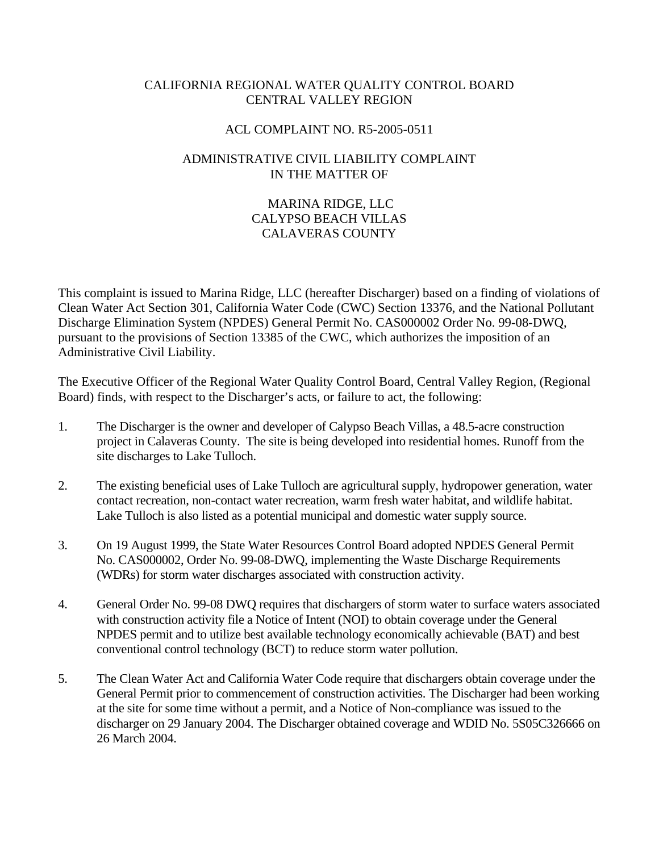#### CALIFORNIA REGIONAL WATER QUALITY CONTROL BOARD CENTRAL VALLEY REGION

#### ACL COMPLAINT NO. R5-2005-0511

#### ADMINISTRATIVE CIVIL LIABILITY COMPLAINT IN THE MATTER OF

## MARINA RIDGE, LLC CALYPSO BEACH VILLAS CALAVERAS COUNTY

This complaint is issued to Marina Ridge, LLC (hereafter Discharger) based on a finding of violations of Clean Water Act Section 301, California Water Code (CWC) Section 13376, and the National Pollutant Discharge Elimination System (NPDES) General Permit No. CAS000002 Order No. 99-08-DWQ, pursuant to the provisions of Section 13385 of the CWC, which authorizes the imposition of an Administrative Civil Liability.

The Executive Officer of the Regional Water Quality Control Board, Central Valley Region, (Regional Board) finds, with respect to the Discharger's acts, or failure to act, the following:

- 1. The Discharger is the owner and developer of Calypso Beach Villas, a 48.5-acre construction project in Calaveras County. The site is being developed into residential homes. Runoff from the site discharges to Lake Tulloch.
- 2. The existing beneficial uses of Lake Tulloch are agricultural supply, hydropower generation, water contact recreation, non-contact water recreation, warm fresh water habitat, and wildlife habitat. Lake Tulloch is also listed as a potential municipal and domestic water supply source.
- 3. On 19 August 1999, the State Water Resources Control Board adopted NPDES General Permit No. CAS000002, Order No. 99-08-DWQ, implementing the Waste Discharge Requirements (WDRs) for storm water discharges associated with construction activity.
- 4. General Order No. 99-08 DWQ requires that dischargers of storm water to surface waters associated with construction activity file a Notice of Intent (NOI) to obtain coverage under the General NPDES permit and to utilize best available technology economically achievable (BAT) and best conventional control technology (BCT) to reduce storm water pollution.
- 5. The Clean Water Act and California Water Code require that dischargers obtain coverage under the General Permit prior to commencement of construction activities. The Discharger had been working at the site for some time without a permit, and a Notice of Non-compliance was issued to the discharger on 29 January 2004. The Discharger obtained coverage and WDID No. 5S05C326666 on 26 March 2004.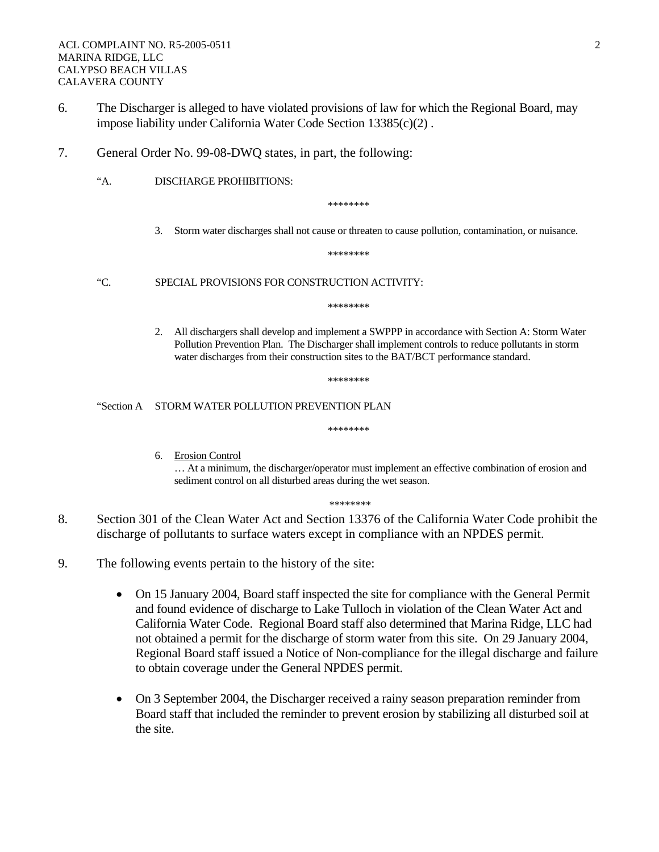- 6. The Discharger is alleged to have violated provisions of law for which the Regional Board, may impose liability under California Water Code Section 13385(c)(2) .
- 7. General Order No. 99-08-DWQ states, in part, the following:
	- "A. DISCHARGE PROHIBITIONS:

\*\*\*\*\*\*\*\*

3. Storm water discharges shall not cause or threaten to cause pollution, contamination, or nuisance.

\*\*\*\*\*\*\*\*

"C. SPECIAL PROVISIONS FOR CONSTRUCTION ACTIVITY:

\*\*\*\*\*\*\*\*

2. All dischargers shall develop and implement a SWPPP in accordance with Section A: Storm Water Pollution Prevention Plan. The Discharger shall implement controls to reduce pollutants in storm water discharges from their construction sites to the BAT/BCT performance standard.

\*\*\*\*\*\*\*\*

\*\*\*\*\*\*\*\*

"Section A STORM WATER POLLUTION PREVENTION PLAN

6. Erosion Control

… At a minimum, the discharger/operator must implement an effective combination of erosion and sediment control on all disturbed areas during the wet season.

\*\*\*\*\*\*\*\*\*

- 8. Section 301 of the Clean Water Act and Section 13376 of the California Water Code prohibit the discharge of pollutants to surface waters except in compliance with an NPDES permit.
- 9. The following events pertain to the history of the site:
	- On 15 January 2004, Board staff inspected the site for compliance with the General Permit and found evidence of discharge to Lake Tulloch in violation of the Clean Water Act and California Water Code. Regional Board staff also determined that Marina Ridge, LLC had not obtained a permit for the discharge of storm water from this site. On 29 January 2004, Regional Board staff issued a Notice of Non-compliance for the illegal discharge and failure to obtain coverage under the General NPDES permit.
	- On 3 September 2004, the Discharger received a rainy season preparation reminder from Board staff that included the reminder to prevent erosion by stabilizing all disturbed soil at the site.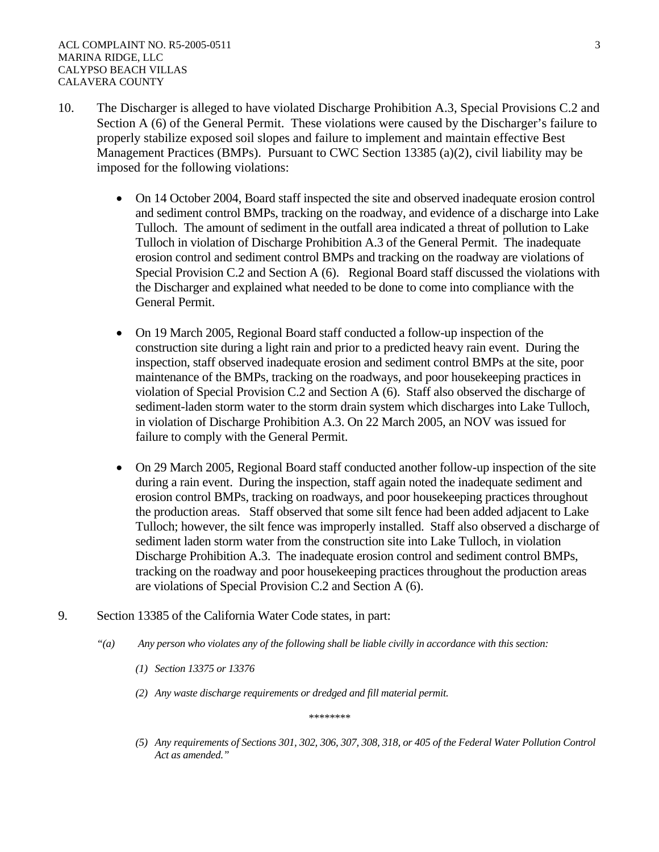- 10. The Discharger is alleged to have violated Discharge Prohibition A.3, Special Provisions C.2 and Section A (6) of the General Permit. These violations were caused by the Discharger's failure to properly stabilize exposed soil slopes and failure to implement and maintain effective Best Management Practices (BMPs). Pursuant to CWC Section 13385 (a)(2), civil liability may be imposed for the following violations:
	- On 14 October 2004, Board staff inspected the site and observed inadequate erosion control and sediment control BMPs, tracking on the roadway, and evidence of a discharge into Lake Tulloch. The amount of sediment in the outfall area indicated a threat of pollution to Lake Tulloch in violation of Discharge Prohibition A.3 of the General Permit. The inadequate erosion control and sediment control BMPs and tracking on the roadway are violations of Special Provision C.2 and Section A (6). Regional Board staff discussed the violations with the Discharger and explained what needed to be done to come into compliance with the General Permit.
	- On 19 March 2005, Regional Board staff conducted a follow-up inspection of the construction site during a light rain and prior to a predicted heavy rain event. During the inspection, staff observed inadequate erosion and sediment control BMPs at the site, poor maintenance of the BMPs, tracking on the roadways, and poor housekeeping practices in violation of Special Provision C.2 and Section A (6). Staff also observed the discharge of sediment-laden storm water to the storm drain system which discharges into Lake Tulloch, in violation of Discharge Prohibition A.3. On 22 March 2005, an NOV was issued for failure to comply with the General Permit.
	- On 29 March 2005, Regional Board staff conducted another follow-up inspection of the site during a rain event. During the inspection, staff again noted the inadequate sediment and erosion control BMPs, tracking on roadways, and poor housekeeping practices throughout the production areas. Staff observed that some silt fence had been added adjacent to Lake Tulloch; however, the silt fence was improperly installed. Staff also observed a discharge of sediment laden storm water from the construction site into Lake Tulloch, in violation Discharge Prohibition A.3. The inadequate erosion control and sediment control BMPs, tracking on the roadway and poor housekeeping practices throughout the production areas are violations of Special Provision C.2 and Section A (6).
- 9. Section 13385 of the California Water Code states, in part:
	- *"(a) Any person who violates any of the following shall be liable civilly in accordance with this section:* 
		- *(1) Section 13375 or 13376*
		- *(2) Any waste discharge requirements or dredged and fill material permit.*

*\*\*\*\*\*\*\*\** 

*(5) Any requirements of Sections 301, 302, 306, 307, 308, 318, or 405 of the Federal Water Pollution Control Act as amended."*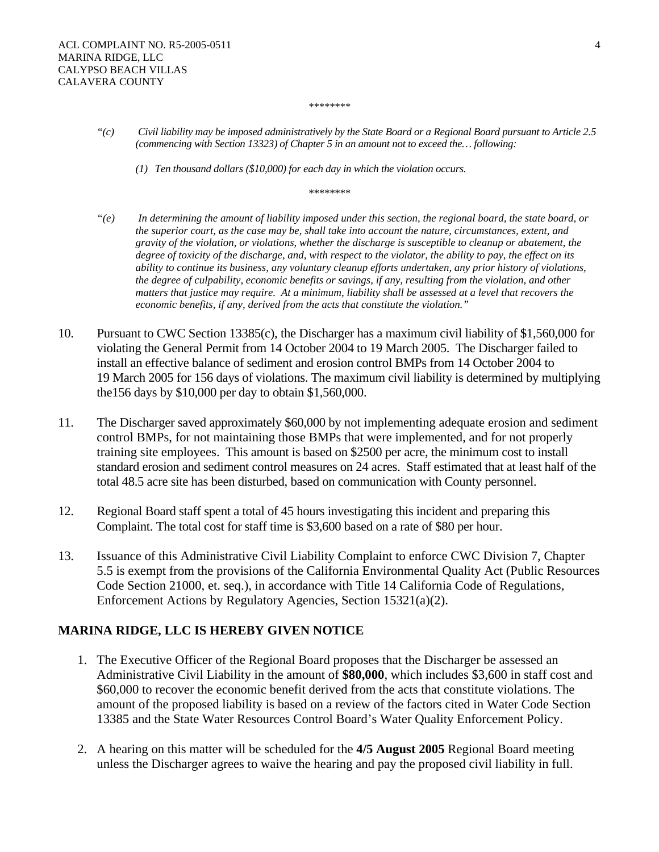*\*\*\*\*\*\*\*\** 

- *"(c) Civil liability may be imposed administratively by the State Board or a Regional Board pursuant to Article 2.5 (commencing with Section 13323) of Chapter 5 in an amount not to exceed the… following:* 
	- *(1) Ten thousand dollars (\$10,000) for each day in which the violation occurs.*

*\*\*\*\*\*\*\*\** 

- *"(e) In determining the amount of liability imposed under this section, the regional board, the state board, or the superior court, as the case may be, shall take into account the nature, circumstances, extent, and gravity of the violation, or violations, whether the discharge is susceptible to cleanup or abatement, the degree of toxicity of the discharge, and, with respect to the violator, the ability to pay, the effect on its ability to continue its business, any voluntary cleanup efforts undertaken, any prior history of violations, the degree of culpability, economic benefits or savings, if any, resulting from the violation, and other matters that justice may require. At a minimum, liability shall be assessed at a level that recovers the economic benefits, if any, derived from the acts that constitute the violation."*
- 10. Pursuant to CWC Section 13385(c), the Discharger has a maximum civil liability of \$1,560,000 for violating the General Permit from 14 October 2004 to 19 March 2005. The Discharger failed to install an effective balance of sediment and erosion control BMPs from 14 October 2004 to 19 March 2005 for 156 days of violations. The maximum civil liability is determined by multiplying the156 days by \$10,000 per day to obtain \$1,560,000.
- 11. The Discharger saved approximately \$60,000 by not implementing adequate erosion and sediment control BMPs, for not maintaining those BMPs that were implemented, and for not properly training site employees. This amount is based on \$2500 per acre, the minimum cost to install standard erosion and sediment control measures on 24 acres. Staff estimated that at least half of the total 48.5 acre site has been disturbed, based on communication with County personnel.
- 12. Regional Board staff spent a total of 45 hours investigating this incident and preparing this Complaint. The total cost for staff time is \$3,600 based on a rate of \$80 per hour.
- 13. Issuance of this Administrative Civil Liability Complaint to enforce CWC Division 7, Chapter 5.5 is exempt from the provisions of the California Environmental Quality Act (Public Resources Code Section 21000, et. seq.), in accordance with Title 14 California Code of Regulations, Enforcement Actions by Regulatory Agencies, Section 15321(a)(2).

# **MARINA RIDGE, LLC IS HEREBY GIVEN NOTICE**

- 1. The Executive Officer of the Regional Board proposes that the Discharger be assessed an Administrative Civil Liability in the amount of **\$80,000**, which includes \$3,600 in staff cost and \$60,000 to recover the economic benefit derived from the acts that constitute violations. The amount of the proposed liability is based on a review of the factors cited in Water Code Section 13385 and the State Water Resources Control Board's Water Quality Enforcement Policy.
- 2. A hearing on this matter will be scheduled for the **4/5 August 2005** Regional Board meeting unless the Discharger agrees to waive the hearing and pay the proposed civil liability in full.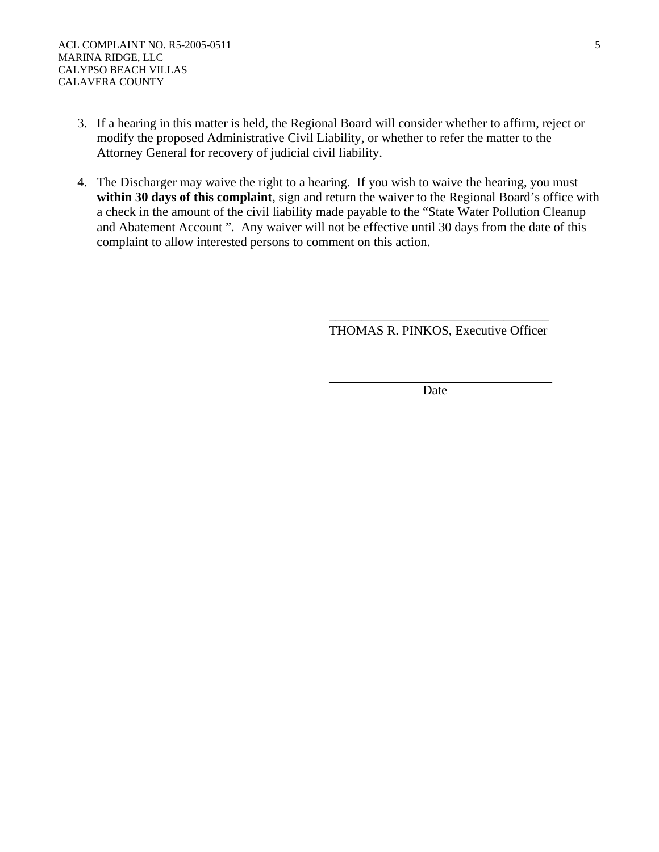- 3. If a hearing in this matter is held, the Regional Board will consider whether to affirm, reject or modify the proposed Administrative Civil Liability, or whether to refer the matter to the Attorney General for recovery of judicial civil liability.
- 4. The Discharger may waive the right to a hearing. If you wish to waive the hearing, you must within 30 days of this complaint, sign and return the waiver to the Regional Board's office with a check in the amount of the civil liability made payable to the "State Water Pollution Cleanup and Abatement Account ". Any waiver will not be effective until 30 days from the date of this complaint to allow interested persons to comment on this action.

 $\overline{\phantom{a}}$  , which is a set of the contract of the contract of the contract of the contract of the contract of the contract of the contract of the contract of the contract of the contract of the contract of the contract

THOMAS R. PINKOS, Executive Officer

**Date**